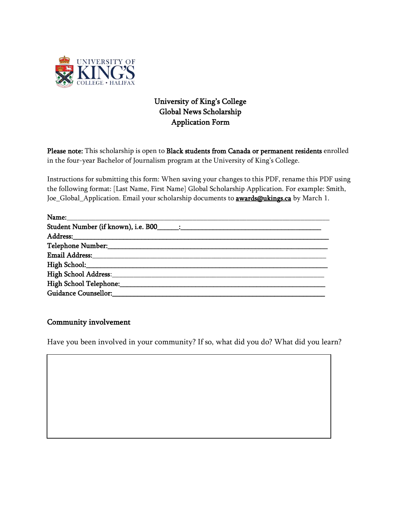

## University of King's College Global News Scholarship Application Form

Please note: This scholarship is open to Black students from Canada or permanent residents enrolled in the four-year Bachelor of Journalism program at the University of King's College.

Instructions for submitting this form: When saving your changes to this PDF, rename this PDF using the following format: [Last Name, First Name] Global Scholarship Application. For example: Smith, Joe\_Global\_Application. Email your scholarship documents to **[awards@ukings.ca](mailto:awards@ukings.ca)** by March 1.

| $\begin{picture}(25,10) \put(0,0){\dashbox{0.5}(5,0){ }} \put(15,0){\circle{10}} \put(15,0){\circle{10}} \put(15,0){\circle{10}} \put(15,0){\circle{10}} \put(15,0){\circle{10}} \put(15,0){\circle{10}} \put(15,0){\circle{10}} \put(15,0){\circle{10}} \put(15,0){\circle{10}} \put(15,0){\circle{10}} \put(15,0){\circle{10}} \put(15,0){\circle{10}} \put(15,0){\circle{10}} \put(15,0$ |  |
|---------------------------------------------------------------------------------------------------------------------------------------------------------------------------------------------------------------------------------------------------------------------------------------------------------------------------------------------------------------------------------------------|--|
| Student Number (if known), i.e. B00_______:                                                                                                                                                                                                                                                                                                                                                 |  |
|                                                                                                                                                                                                                                                                                                                                                                                             |  |
|                                                                                                                                                                                                                                                                                                                                                                                             |  |
| <b>Email Address:</b>                                                                                                                                                                                                                                                                                                                                                                       |  |
|                                                                                                                                                                                                                                                                                                                                                                                             |  |
| High School Address: March 1997                                                                                                                                                                                                                                                                                                                                                             |  |
| High School Telephone:_____________                                                                                                                                                                                                                                                                                                                                                         |  |
| Guidance Counsellor:                                                                                                                                                                                                                                                                                                                                                                        |  |

## Community involvement

Have you been involved in your community? If so, what did you do? What did you learn?